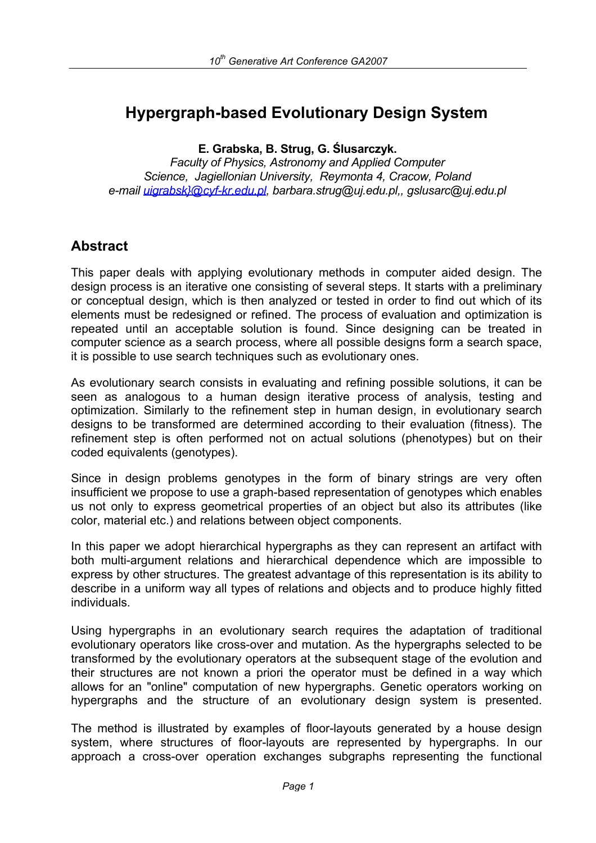# **Hypergraph-based Evolutionary Design System**

**E. Grabska, B. Strug, G. Ślusarczyk.** 

*Faculty of Physics, Astronomy and Applied Computer Science, Jagiellonian University, Reymonta 4, Cracow, Poland e-mail uigrabsk}@cyf-kr.edu.pl, barbara.strug@uj.edu.pl,, gslusarc@uj.edu.pl*

## **Abstract**

This paper deals with applying evolutionary methods in computer aided design. The design process is an iterative one consisting of several steps. It starts with a preliminary or conceptual design, which is then analyzed or tested in order to find out which of its elements must be redesigned or refined. The process of evaluation and optimization is repeated until an acceptable solution is found. Since designing can be treated in computer science as a search process, where all possible designs form a search space, it is possible to use search techniques such as evolutionary ones.

As evolutionary search consists in evaluating and refining possible solutions, it can be seen as analogous to a human design iterative process of analysis, testing and optimization. Similarly to the refinement step in human design, in evolutionary search designs to be transformed are determined according to their evaluation (fitness). The refinement step is often performed not on actual solutions (phenotypes) but on their coded equivalents (genotypes).

Since in design problems genotypes in the form of binary strings are very often insufficient we propose to use a graph-based representation of genotypes which enables us not only to express geometrical properties of an object but also its attributes (like color, material etc.) and relations between object components.

In this paper we adopt hierarchical hypergraphs as they can represent an artifact with both multi-argument relations and hierarchical dependence which are impossible to express by other structures. The greatest advantage of this representation is its ability to describe in a uniform way all types of relations and objects and to produce highly fitted individuals.

Using hypergraphs in an evolutionary search requires the adaptation of traditional evolutionary operators like cross-over and mutation. As the hypergraphs selected to be transformed by the evolutionary operators at the subsequent stage of the evolution and their structures are not known a priori the operator must be defined in a way which allows for an "online" computation of new hypergraphs. Genetic operators working on hypergraphs and the structure of an evolutionary design system is presented.

The method is illustrated by examples of floor-layouts generated by a house design system, where structures of floor-layouts are represented by hypergraphs. In our approach a cross-over operation exchanges subgraphs representing the functional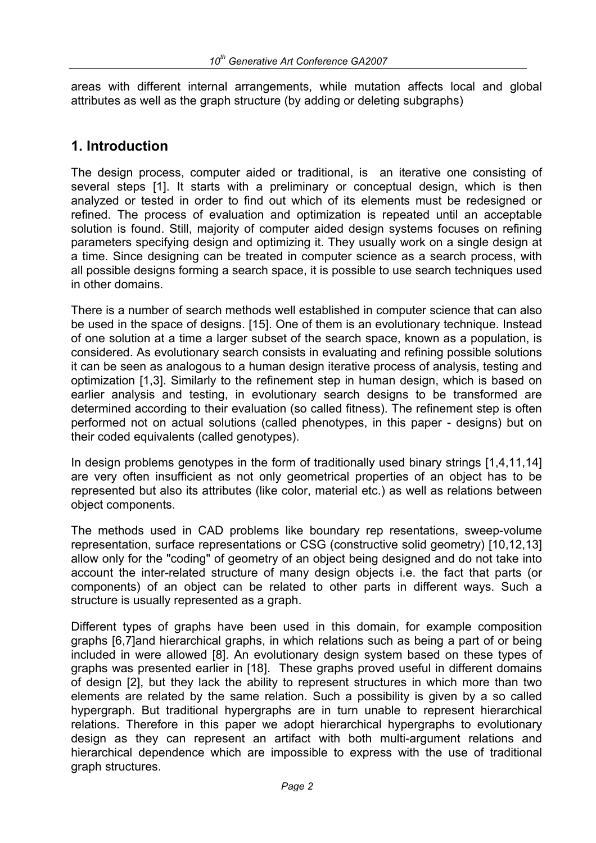areas with different internal arrangements, while mutation affects local and global attributes as well as the graph structure (by adding or deleting subgraphs)

## **1. Introduction**

The design process, computer aided or traditional, is an iterative one consisting of several steps [1]. It starts with a preliminary or conceptual design, which is then analyzed or tested in order to find out which of its elements must be redesigned or refined. The process of evaluation and optimization is repeated until an acceptable solution is found. Still, majority of computer aided design systems focuses on refining parameters specifying design and optimizing it. They usually work on a single design at a time. Since designing can be treated in computer science as a search process, with all possible designs forming a search space, it is possible to use search techniques used in other domains.

There is a number of search methods well established in computer science that can also be used in the space of designs. [15]. One of them is an evolutionary technique. Instead of one solution at a time a larger subset of the search space, known as a population, is considered. As evolutionary search consists in evaluating and refining possible solutions it can be seen as analogous to a human design iterative process of analysis, testing and optimization [1,3]. Similarly to the refinement step in human design, which is based on earlier analysis and testing, in evolutionary search designs to be transformed are determined according to their evaluation (so called fitness). The refinement step is often performed not on actual solutions (called phenotypes, in this paper - designs) but on their coded equivalents (called genotypes).

In design problems genotypes in the form of traditionally used binary strings [1,4,11,14] are very often insufficient as not only geometrical properties of an object has to be represented but also its attributes (like color, material etc.) as well as relations between object components.

The methods used in CAD problems like boundary rep resentations, sweep-volume representation, surface representations or CSG (constructive solid geometry) [10,12,13] allow only for the "coding" of geometry of an object being designed and do not take into account the inter-related structure of many design objects i.e. the fact that parts (or components) of an object can be related to other parts in different ways. Such a structure is usually represented as a graph.

Different types of graphs have been used in this domain, for example composition graphs [6,7]and hierarchical graphs, in which relations such as being a part of or being included in were allowed [8]. An evolutionary design system based on these types of graphs was presented earlier in [18]. These graphs proved useful in different domains of design [2], but they lack the ability to represent structures in which more than two elements are related by the same relation. Such a possibility is given by a so called hypergraph. But traditional hypergraphs are in turn unable to represent hierarchical relations. Therefore in this paper we adopt hierarchical hypergraphs to evolutionary design as they can represent an artifact with both multi-argument relations and hierarchical dependence which are impossible to express with the use of traditional graph structures.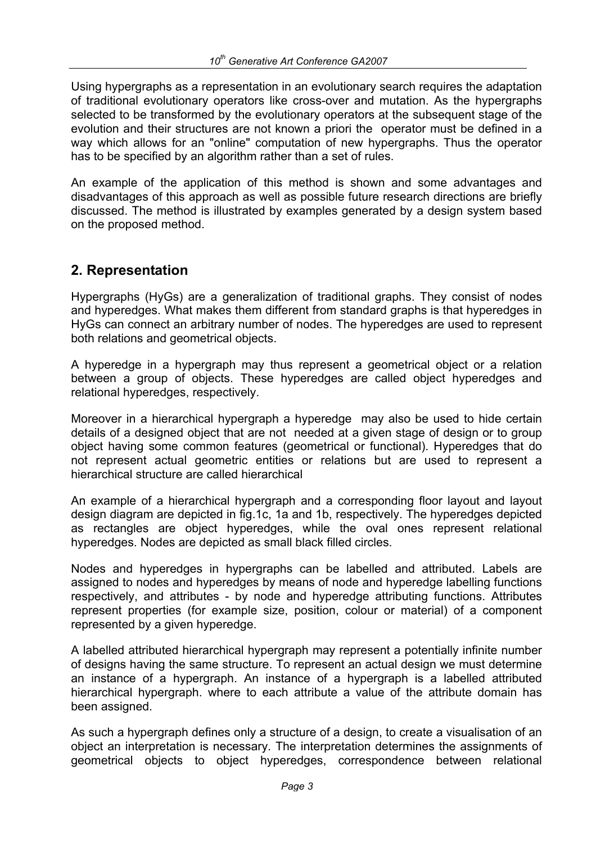Using hypergraphs as a representation in an evolutionary search requires the adaptation of traditional evolutionary operators like cross-over and mutation. As the hypergraphs selected to be transformed by the evolutionary operators at the subsequent stage of the evolution and their structures are not known a priori the operator must be defined in a way which allows for an "online" computation of new hypergraphs. Thus the operator has to be specified by an algorithm rather than a set of rules.

An example of the application of this method is shown and some advantages and disadvantages of this approach as well as possible future research directions are briefly discussed. The method is illustrated by examples generated by a design system based on the proposed method.

## **2. Representation**

Hypergraphs (HyGs) are a generalization of traditional graphs. They consist of nodes and hyperedges. What makes them different from standard graphs is that hyperedges in HyGs can connect an arbitrary number of nodes. The hyperedges are used to represent both relations and geometrical objects.

A hyperedge in a hypergraph may thus represent a geometrical object or a relation between a group of objects. These hyperedges are called object hyperedges and relational hyperedges, respectively.

Moreover in a hierarchical hypergraph a hyperedge may also be used to hide certain details of a designed object that are not needed at a given stage of design or to group object having some common features (geometrical or functional). Hyperedges that do not represent actual geometric entities or relations but are used to represent a hierarchical structure are called hierarchical

An example of a hierarchical hypergraph and a corresponding floor layout and layout design diagram are depicted in fig.1c, 1a and 1b, respectively. The hyperedges depicted as rectangles are object hyperedges, while the oval ones represent relational hyperedges. Nodes are depicted as small black filled circles.

Nodes and hyperedges in hypergraphs can be labelled and attributed. Labels are assigned to nodes and hyperedges by means of node and hyperedge labelling functions respectively, and attributes - by node and hyperedge attributing functions. Attributes represent properties (for example size, position, colour or material) of a component represented by a given hyperedge.

A labelled attributed hierarchical hypergraph may represent a potentially infinite number of designs having the same structure. To represent an actual design we must determine an instance of a hypergraph. An instance of a hypergraph is a labelled attributed hierarchical hypergraph. where to each attribute a value of the attribute domain has been assigned.

As such a hypergraph defines only a structure of a design, to create a visualisation of an object an interpretation is necessary. The interpretation determines the assignments of geometrical objects to object hyperedges, correspondence between relational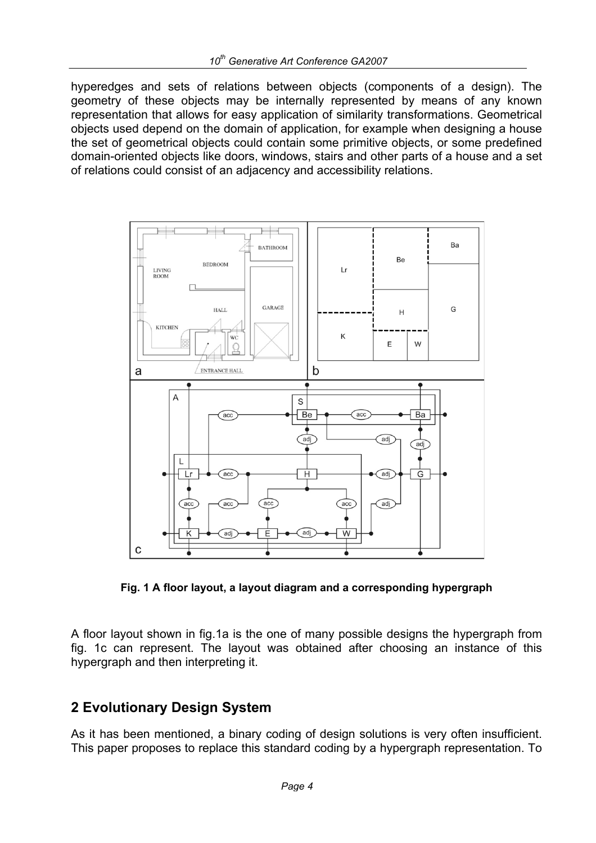hyperedges and sets of relations between objects (components of a design). The geometry of these objects may be internally represented by means of any known representation that allows for easy application of similarity transformations. Geometrical objects used depend on the domain of application, for example when designing a house the set of geometrical objects could contain some primitive objects, or some predefined domain-oriented objects like doors, windows, stairs and other parts of a house and a set of relations could consist of an adjacency and accessibility relations.



**Fig. 1 A floor layout, a layout diagram and a corresponding hypergraph** 

A floor layout shown in fig.1a is the one of many possible designs the hypergraph from fig. 1c can represent. The layout was obtained after choosing an instance of this hypergraph and then interpreting it.

## **2 Evolutionary Design System**

As it has been mentioned, a binary coding of design solutions is very often insufficient. This paper proposes to replace this standard coding by a hypergraph representation. To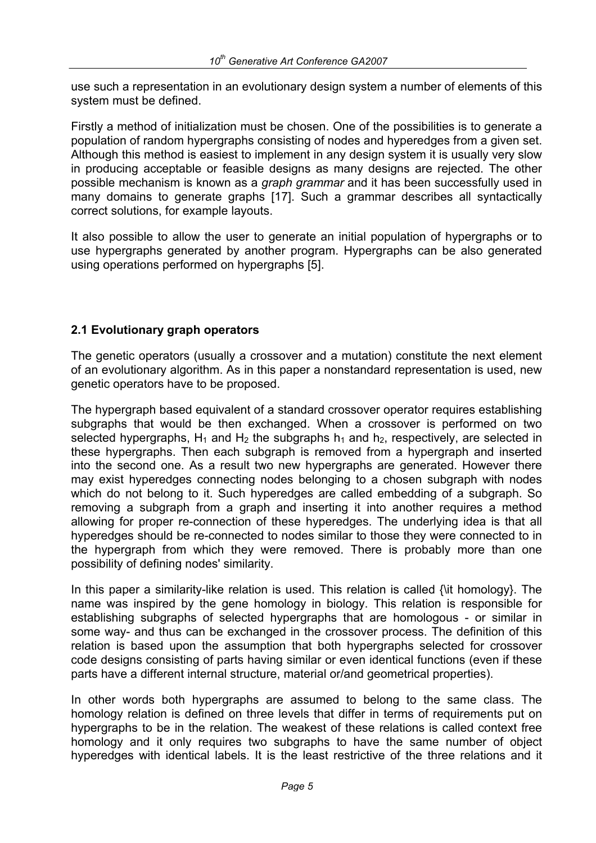use such a representation in an evolutionary design system a number of elements of this system must be defined.

Firstly a method of initialization must be chosen. One of the possibilities is to generate a population of random hypergraphs consisting of nodes and hyperedges from a given set. Although this method is easiest to implement in any design system it is usually very slow in producing acceptable or feasible designs as many designs are rejected. The other possible mechanism is known as a *graph grammar* and it has been successfully used in many domains to generate graphs [17]. Such a grammar describes all syntactically correct solutions, for example layouts.

It also possible to allow the user to generate an initial population of hypergraphs or to use hypergraphs generated by another program. Hypergraphs can be also generated using operations performed on hypergraphs [5].

#### **2.1 Evolutionary graph operators**

The genetic operators (usually a crossover and a mutation) constitute the next element of an evolutionary algorithm. As in this paper a nonstandard representation is used, new genetic operators have to be proposed.

The hypergraph based equivalent of a standard crossover operator requires establishing subgraphs that would be then exchanged. When a crossover is performed on two selected hypergraphs,  $H_1$  and  $H_2$  the subgraphs  $h_1$  and  $h_2$ , respectively, are selected in these hypergraphs. Then each subgraph is removed from a hypergraph and inserted into the second one. As a result two new hypergraphs are generated. However there may exist hyperedges connecting nodes belonging to a chosen subgraph with nodes which do not belong to it. Such hyperedges are called embedding of a subgraph. So removing a subgraph from a graph and inserting it into another requires a method allowing for proper re-connection of these hyperedges. The underlying idea is that all hyperedges should be re-connected to nodes similar to those they were connected to in the hypergraph from which they were removed. There is probably more than one possibility of defining nodes' similarity.

In this paper a similarity-like relation is used. This relation is called {\it homology}. The name was inspired by the gene homology in biology. This relation is responsible for establishing subgraphs of selected hypergraphs that are homologous - or similar in some way- and thus can be exchanged in the crossover process. The definition of this relation is based upon the assumption that both hypergraphs selected for crossover code designs consisting of parts having similar or even identical functions (even if these parts have a different internal structure, material or/and geometrical properties).

In other words both hypergraphs are assumed to belong to the same class. The homology relation is defined on three levels that differ in terms of requirements put on hypergraphs to be in the relation. The weakest of these relations is called context free homology and it only requires two subgraphs to have the same number of object hyperedges with identical labels. It is the least restrictive of the three relations and it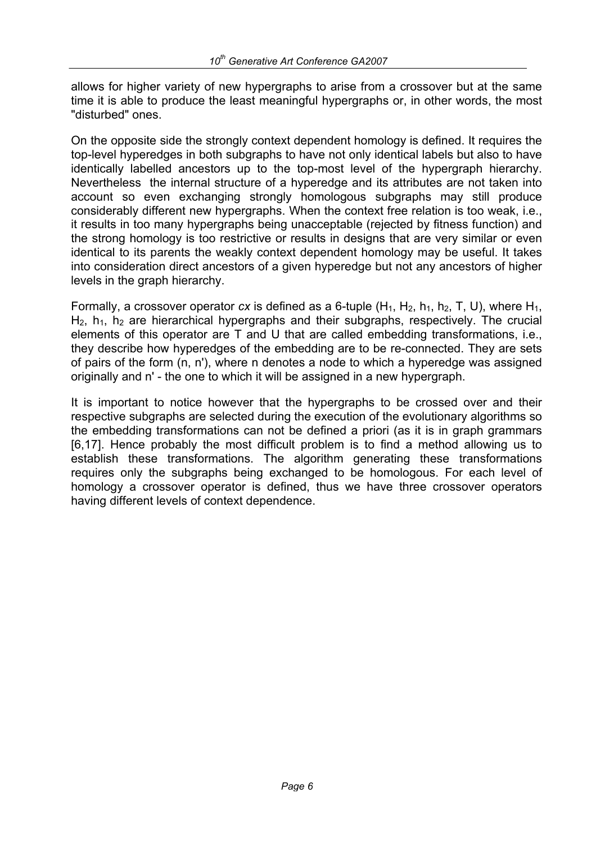allows for higher variety of new hypergraphs to arise from a crossover but at the same time it is able to produce the least meaningful hypergraphs or, in other words, the most "disturbed" ones.

On the opposite side the strongly context dependent homology is defined. It requires the top-level hyperedges in both subgraphs to have not only identical labels but also to have identically labelled ancestors up to the top-most level of the hypergraph hierarchy. Nevertheless the internal structure of a hyperedge and its attributes are not taken into account so even exchanging strongly homologous subgraphs may still produce considerably different new hypergraphs. When the context free relation is too weak, i.e., it results in too many hypergraphs being unacceptable (rejected by fitness function) and the strong homology is too restrictive or results in designs that are very similar or even identical to its parents the weakly context dependent homology may be useful. It takes into consideration direct ancestors of a given hyperedge but not any ancestors of higher levels in the graph hierarchy.

Formally, a crossover operator  $cx$  is defined as a 6-tuple  $(H_1, H_2, h_1, h_2, T, U)$ , where  $H_1$ ,  $H_2$ ,  $h_1$ ,  $h_2$  are hierarchical hypergraphs and their subgraphs, respectively. The crucial elements of this operator are T and U that are called embedding transformations, i.e., they describe how hyperedges of the embedding are to be re-connected. They are sets of pairs of the form (n, n'), where n denotes a node to which a hyperedge was assigned originally and n' - the one to which it will be assigned in a new hypergraph.

It is important to notice however that the hypergraphs to be crossed over and their respective subgraphs are selected during the execution of the evolutionary algorithms so the embedding transformations can not be defined a priori (as it is in graph grammars [6,17]. Hence probably the most difficult problem is to find a method allowing us to establish these transformations. The algorithm generating these transformations requires only the subgraphs being exchanged to be homologous. For each level of homology a crossover operator is defined, thus we have three crossover operators having different levels of context dependence.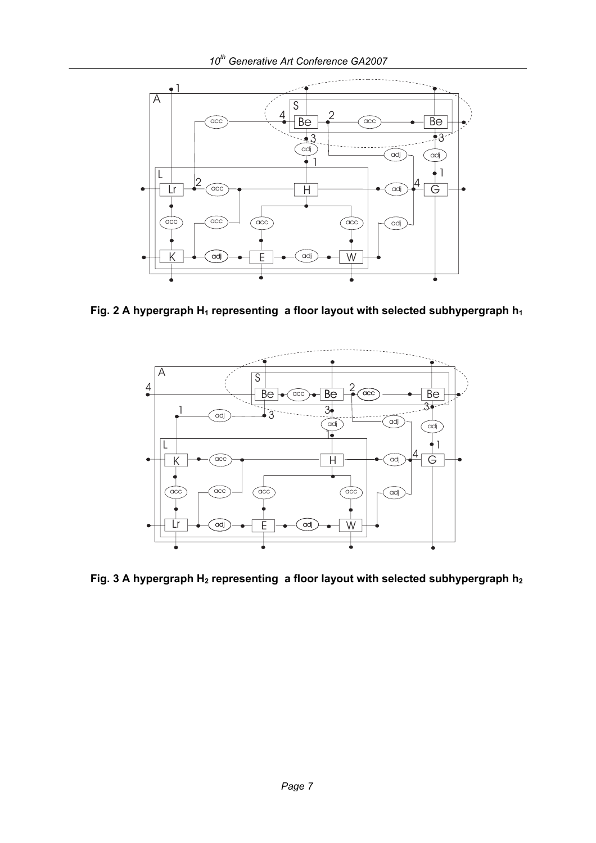

Fig. 2 A hypergraph H<sub>1</sub> representing a floor layout with selected subhypergraph h<sub>1</sub>



Fig. 3 A hypergraph H<sub>2</sub> representing a floor layout with selected subhypergraph h<sub>2</sub>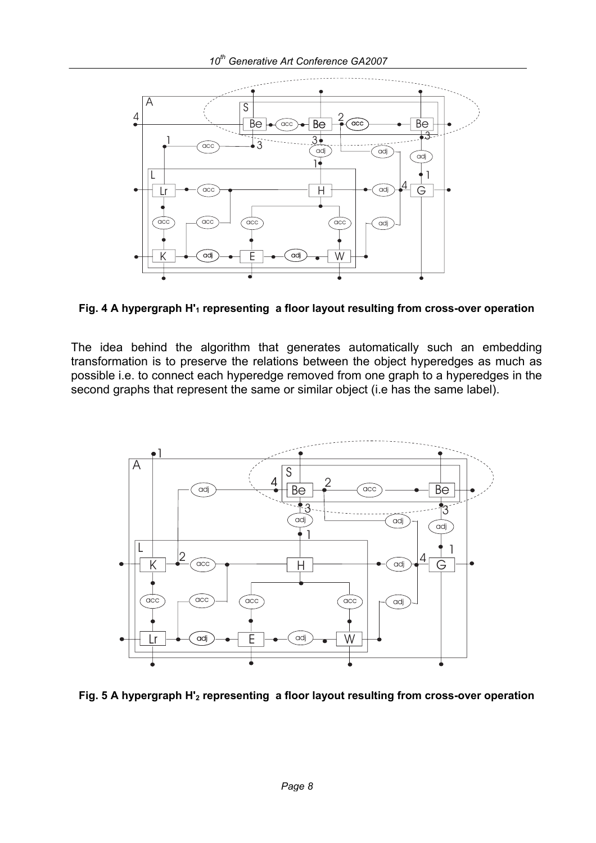

Fig. 4 A hypergraph H'<sub>1</sub> representing a floor layout resulting from cross-over operation

The idea behind the algorithm that generates automatically such an embedding transformation is to preserve the relations between the object hyperedges as much as possible i.e. to connect each hyperedge removed from one graph to a hyperedges in the second graphs that represent the same or similar object (i.e has the same label).



**Fig. 5 A hypergraph H'2 representing a floor layout resulting from cross-over operation**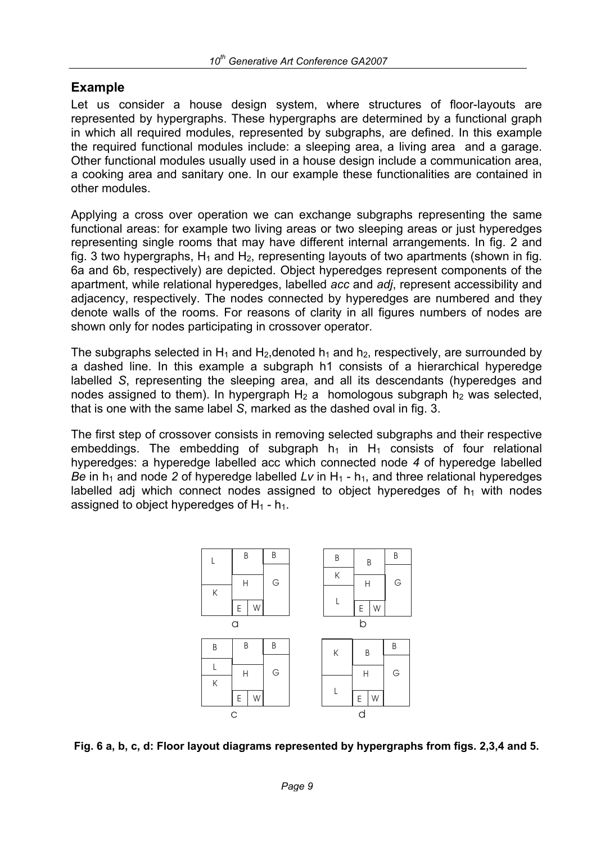## **Example**

Let us consider a house design system, where structures of floor-layouts are represented by hypergraphs. These hypergraphs are determined by a functional graph in which all required modules, represented by subgraphs, are defined. In this example the required functional modules include: a sleeping area, a living area and a garage. Other functional modules usually used in a house design include a communication area, a cooking area and sanitary one. In our example these functionalities are contained in other modules.

Applying a cross over operation we can exchange subgraphs representing the same functional areas: for example two living areas or two sleeping areas or just hyperedges representing single rooms that may have different internal arrangements. In fig. 2 and fig. 3 two hypergraphs,  $H_1$  and  $H_2$ , representing layouts of two apartments (shown in fig. 6a and 6b, respectively) are depicted. Object hyperedges represent components of the apartment, while relational hyperedges, labelled *acc* and *adj*, represent accessibility and adjacency, respectively. The nodes connected by hyperedges are numbered and they denote walls of the rooms. For reasons of clarity in all figures numbers of nodes are shown only for nodes participating in crossover operator.

The subgraphs selected in H<sub>1</sub> and H<sub>2</sub>, denoted  $h_1$  and  $h_2$ , respectively, are surrounded by a dashed line. In this example a subgraph h1 consists of a hierarchical hyperedge labelled *S*, representing the sleeping area, and all its descendants (hyperedges and nodes assigned to them). In hypergraph  $H_2$  a homologous subgraph  $h_2$  was selected, that is one with the same label *S*, marked as the dashed oval in fig. 3.

The first step of crossover consists in removing selected subgraphs and their respective embeddings. The embedding of subgraph  $h_1$  in H<sub>1</sub> consists of four relational hyperedges: a hyperedge labelled acc which connected node *4* of hyperedge labelled *Be* in h<sub>1</sub> and node 2 of hyperedge labelled *Lv* in H<sub>1</sub> - h<sub>1</sub>, and three relational hyperedges labelled adj which connect nodes assigned to object hyperedges of  $h_1$  with nodes assigned to object hyperedges of  $H_1 - h_1$ .



**Fig. 6 a, b, c, d: Floor layout diagrams represented by hypergraphs from figs. 2,3,4 and 5.**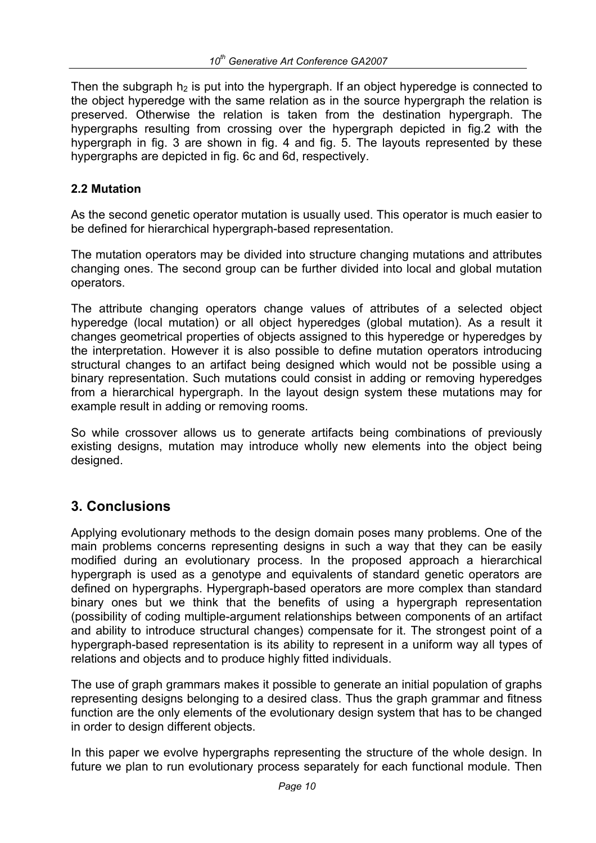Then the subgraph  $h_2$  is put into the hypergraph. If an object hyperedge is connected to the object hyperedge with the same relation as in the source hypergraph the relation is preserved. Otherwise the relation is taken from the destination hypergraph. The hypergraphs resulting from crossing over the hypergraph depicted in fig.2 with the hypergraph in fig. 3 are shown in fig. 4 and fig. 5. The layouts represented by these hypergraphs are depicted in fig. 6c and 6d, respectively.

#### **2.2 Mutation**

As the second genetic operator mutation is usually used. This operator is much easier to be defined for hierarchical hypergraph-based representation.

The mutation operators may be divided into structure changing mutations and attributes changing ones. The second group can be further divided into local and global mutation operators.

The attribute changing operators change values of attributes of a selected object hyperedge (local mutation) or all object hyperedges (global mutation). As a result it changes geometrical properties of objects assigned to this hyperedge or hyperedges by the interpretation. However it is also possible to define mutation operators introducing structural changes to an artifact being designed which would not be possible using a binary representation. Such mutations could consist in adding or removing hyperedges from a hierarchical hypergraph. In the layout design system these mutations may for example result in adding or removing rooms.

So while crossover allows us to generate artifacts being combinations of previously existing designs, mutation may introduce wholly new elements into the object being designed.

## **3. Conclusions**

Applying evolutionary methods to the design domain poses many problems. One of the main problems concerns representing designs in such a way that they can be easily modified during an evolutionary process. In the proposed approach a hierarchical hypergraph is used as a genotype and equivalents of standard genetic operators are defined on hypergraphs. Hypergraph-based operators are more complex than standard binary ones but we think that the benefits of using a hypergraph representation (possibility of coding multiple-argument relationships between components of an artifact and ability to introduce structural changes) compensate for it. The strongest point of a hypergraph-based representation is its ability to represent in a uniform way all types of relations and objects and to produce highly fitted individuals.

The use of graph grammars makes it possible to generate an initial population of graphs representing designs belonging to a desired class. Thus the graph grammar and fitness function are the only elements of the evolutionary design system that has to be changed in order to design different objects.

In this paper we evolve hypergraphs representing the structure of the whole design. In future we plan to run evolutionary process separately for each functional module. Then